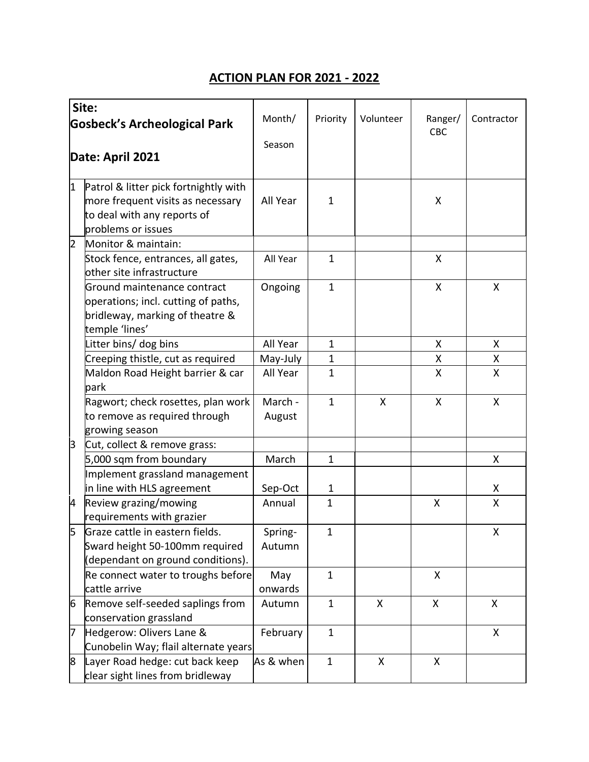## **ACTION PLAN FOR 2021 - 2022**

|                                     | Site:                                                           |           |              |           |                |              |
|-------------------------------------|-----------------------------------------------------------------|-----------|--------------|-----------|----------------|--------------|
| <b>Gosbeck's Archeological Park</b> |                                                                 | Month/    | Priority     | Volunteer | Ranger/<br>CBC | Contractor   |
|                                     |                                                                 | Season    |              |           |                |              |
| Date: April 2021                    |                                                                 |           |              |           |                |              |
| 1                                   | Patrol & litter pick fortnightly with                           |           |              |           |                |              |
|                                     | more frequent visits as necessary                               | All Year  | 1            |           | X              |              |
|                                     | to deal with any reports of                                     |           |              |           |                |              |
|                                     | problems or issues                                              |           |              |           |                |              |
| $\overline{2}$                      | Monitor & maintain:                                             |           |              |           |                |              |
|                                     | Stock fence, entrances, all gates,<br>other site infrastructure | All Year  | $\mathbf{1}$ |           | X              |              |
|                                     | Ground maintenance contract                                     | Ongoing   | $\mathbf{1}$ |           | X              | X            |
|                                     | operations; incl. cutting of paths,                             |           |              |           |                |              |
|                                     | bridleway, marking of theatre &                                 |           |              |           |                |              |
|                                     | temple 'lines'                                                  |           |              |           |                |              |
|                                     | Litter bins/ dog bins                                           | All Year  | $\mathbf{1}$ |           | X              | X.           |
|                                     | Creeping thistle, cut as required                               | May-July  | $\mathbf{1}$ |           | Χ              | Χ            |
|                                     | Maldon Road Height barrier & car                                | All Year  | $\mathbf{1}$ |           | X              | X            |
|                                     | park                                                            |           |              |           |                |              |
|                                     | Ragwort; check rosettes, plan work                              | March -   | $\mathbf{1}$ | X         | X              | X            |
|                                     | to remove as required through                                   | August    |              |           |                |              |
|                                     | growing season                                                  |           |              |           |                |              |
| 3                                   | Cut, collect & remove grass:                                    |           |              |           |                |              |
|                                     | 5,000 sqm from boundary                                         | March     | $\mathbf{1}$ |           |                | X            |
|                                     | Implement grassland management                                  |           |              |           |                |              |
|                                     | in line with HLS agreement                                      | Sep-Oct   | 1            |           |                | Χ            |
| 4                                   | Review grazing/mowing                                           | Annual    | 1            |           | X              | $\mathsf{X}$ |
|                                     | requirements with grazier                                       |           |              |           |                |              |
|                                     | Graze cattle in eastern fields.                                 | Spring-   | 1            |           |                | Χ            |
|                                     | Sward height 50-100mm required                                  | Autumn    |              |           |                |              |
|                                     | (dependant on ground conditions).                               |           |              |           |                |              |
|                                     | Re connect water to troughs before                              | May       | $\mathbf{1}$ |           | X              |              |
|                                     | cattle arrive                                                   | onwards   |              |           |                |              |
| 6                                   | Remove self-seeded saplings from                                | Autumn    | $\mathbf{1}$ | X         | X              | X            |
|                                     | conservation grassland                                          |           |              |           |                |              |
| 7                                   | Hedgerow: Olivers Lane &                                        | February  | $\mathbf{1}$ |           |                | X            |
|                                     | Cunobelin Way; flail alternate years                            |           |              |           |                |              |
| 8                                   | Layer Road hedge: cut back keep                                 | As & when | $\mathbf{1}$ | X         | X              |              |
|                                     | clear sight lines from bridleway                                |           |              |           |                |              |